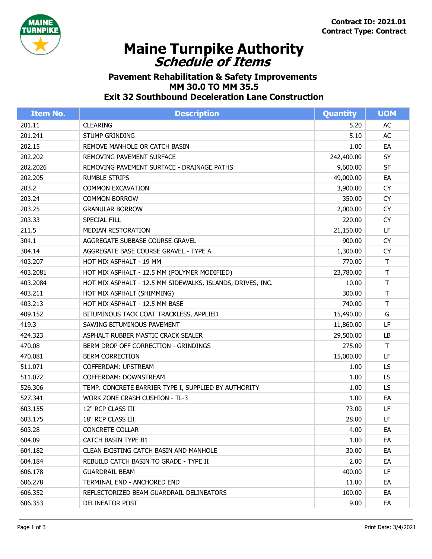

## **Schedule of Items Maine Turnpike Authority**

## **Pavement Rehabilitation & Safety Improvements MM 30.0 TO MM 35.5 Exit 32 Southbound Deceleration Lane Construction**

| <b>Item No.</b> | <b>Description</b>                                         | Quantity   | <b>UOM</b> |
|-----------------|------------------------------------------------------------|------------|------------|
| 201.11          | <b>CLEARING</b>                                            | 5.20       | AC         |
| 201.241         | <b>STUMP GRINDING</b>                                      | 5.10       | AC         |
| 202.15          | REMOVE MANHOLE OR CATCH BASIN                              | 1.00       | EA         |
| 202.202         | <b>REMOVING PAVEMENT SURFACE</b>                           | 242,400.00 | SY         |
| 202.2026        | REMOVING PAVEMENT SURFACE - DRAINAGE PATHS                 | 9,600.00   | <b>SF</b>  |
| 202.205         | <b>RUMBLE STRIPS</b>                                       | 49,000.00  | EA         |
| 203.2           | <b>COMMON EXCAVATION</b>                                   | 3,900.00   | <b>CY</b>  |
| 203.24          | <b>COMMON BORROW</b>                                       | 350.00     | <b>CY</b>  |
| 203.25          | <b>GRANULAR BORROW</b>                                     | 2,000.00   | <b>CY</b>  |
| 203.33          | SPECIAL FILL                                               | 220.00     | <b>CY</b>  |
| 211.5           | MEDIAN RESTORATION                                         | 21,150.00  | LF         |
| 304.1           | AGGREGATE SUBBASE COURSE GRAVEL                            | 900.00     | <b>CY</b>  |
| 304.14          | AGGREGATE BASE COURSE GRAVEL - TYPE A                      | 1,300.00   | <b>CY</b>  |
| 403.207         | HOT MIX ASPHALT - 19 MM                                    | 770.00     | Τ          |
| 403.2081        | HOT MIX ASPHALT - 12.5 MM (POLYMER MODIFIED)               | 23,780.00  | T          |
| 403.2084        | HOT MIX ASPHALT - 12.5 MM SIDEWALKS, ISLANDS, DRIVES, INC. | 10.00      | $\top$     |
| 403.211         | HOT MIX ASPHALT (SHIMMING)                                 | 300.00     | T          |
| 403.213         | HOT MIX ASPHALT - 12.5 MM BASE                             | 740.00     | T          |
| 409.152         | BITUMINOUS TACK COAT TRACKLESS, APPLIED                    | 15,490.00  | G          |
| 419.3           | SAWING BITUMINOUS PAVEMENT                                 | 11,860.00  | LF         |
| 424.323         | ASPHALT RUBBER MASTIC CRACK SEALER                         | 29,500.00  | LB         |
| 470.08          | BERM DROP OFF CORRECTION - GRINDINGS                       | 275.00     | T          |
| 470.081         | <b>BERM CORRECTION</b>                                     | 15,000.00  | LF         |
| 511.071         | COFFERDAM: UPSTREAM                                        | 1.00       | LS         |
| 511.072         | COFFERDAM: DOWNSTREAM                                      | 1.00       | LS.        |
| 526.306         | TEMP. CONCRETE BARRIER TYPE I, SUPPLIED BY AUTHORITY       | 1.00       | LS         |
| 527.341         | <b>WORK ZONE CRASH CUSHION - TL-3</b>                      | 1.00       | EA         |
| 603.155         | 12" RCP CLASS III                                          | 73.00      | LF         |
| 603.175         | 18" RCP CLASS III                                          | 28.00      | LF         |
| 603.28          | <b>CONCRETE COLLAR</b>                                     | 4.00       | EA         |
| 604.09          | CATCH BASIN TYPE B1                                        | 1.00       | EA         |
| 604.182         | CLEAN EXISTING CATCH BASIN AND MANHOLE                     | 30.00      | EA         |
| 604.184         | REBUILD CATCH BASIN TO GRADE - TYPE II                     | 2.00       | EA         |
| 606.178         | <b>GUARDRAIL BEAM</b>                                      | 400.00     | LF.        |
| 606.278         | TERMINAL END - ANCHORED END                                | 11.00      | EA         |
| 606.352         | REFLECTORIZED BEAM GUARDRAIL DELINEATORS                   | 100.00     | EA         |
| 606.353         | DELINEATOR POST                                            | 9.00       | EA         |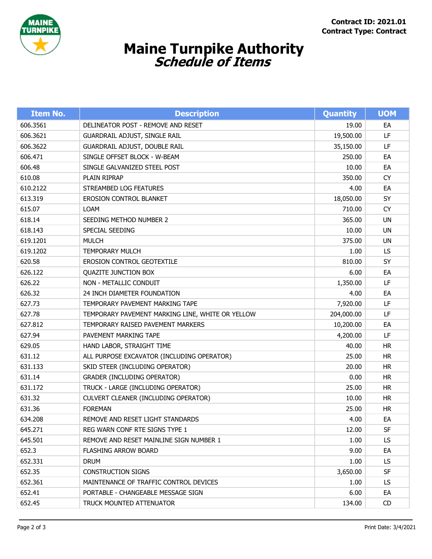

## **Schedule of Items Maine Turnpike Authority**

| <b>Item No.</b> | <b>Description</b>                               | <b>Quantity</b> | <b>UOM</b> |
|-----------------|--------------------------------------------------|-----------------|------------|
| 606.3561        | DELINEATOR POST - REMOVE AND RESET               | 19.00           | EA         |
| 606.3621        | GUARDRAIL ADJUST, SINGLE RAIL                    | 19,500.00       | LF         |
| 606.3622        | GUARDRAIL ADJUST, DOUBLE RAIL                    | 35,150.00       | LF         |
| 606.471         | SINGLE OFFSET BLOCK - W-BEAM                     | 250.00          | EA         |
| 606.48          | SINGLE GALVANIZED STEEL POST                     | 10.00           | EA         |
| 610.08          | PLAIN RIPRAP                                     | 350.00          | <b>CY</b>  |
| 610.2122        | STREAMBED LOG FEATURES                           | 4.00            | EA         |
| 613.319         | EROSION CONTROL BLANKET                          | 18,050.00       | SY         |
| 615.07          | <b>LOAM</b>                                      | 710.00          | <b>CY</b>  |
| 618.14          | SEEDING METHOD NUMBER 2                          | 365.00          | <b>UN</b>  |
| 618.143         | SPECIAL SEEDING                                  | 10.00           | UN         |
| 619.1201        | <b>MULCH</b>                                     | 375.00          | UN         |
| 619.1202        | <b>TEMPORARY MULCH</b>                           | 1.00            | LS.        |
| 620.58          | EROSION CONTROL GEOTEXTILE                       | 810.00          | SY         |
| 626.122         | <b>QUAZITE JUNCTION BOX</b>                      | 6.00            | EA         |
| 626.22          | NON - METALLIC CONDUIT                           | 1,350.00        | LF         |
| 626.32          | 24 INCH DIAMETER FOUNDATION                      | 4.00            | EA         |
| 627.73          | TEMPORARY PAVEMENT MARKING TAPE                  | 7,920.00        | LF         |
| 627.78          | TEMPORARY PAVEMENT MARKING LINE, WHITE OR YELLOW | 204,000.00      | LF         |
| 627.812         | TEMPORARY RAISED PAVEMENT MARKERS                | 10,200.00       | EA         |
| 627.94          | PAVEMENT MARKING TAPE                            | 4,200.00        | LF         |
| 629.05          | HAND LABOR, STRAIGHT TIME                        | 40.00           | <b>HR</b>  |
| 631.12          | ALL PURPOSE EXCAVATOR (INCLUDING OPERATOR)       | 25.00           | <b>HR</b>  |
| 631.133         | SKID STEER (INCLUDING OPERATOR)                  | 20.00           | <b>HR</b>  |
| 631.14          | <b>GRADER (INCLUDING OPERATOR)</b>               | 0.00            | <b>HR</b>  |
| 631.172         | TRUCK - LARGE (INCLUDING OPERATOR)               | 25.00           | <b>HR</b>  |
| 631.32          | CULVERT CLEANER (INCLUDING OPERATOR)             | 10.00           | <b>HR</b>  |
| 631.36          | <b>FOREMAN</b>                                   | 25.00           | <b>HR</b>  |
| 634.208         | REMOVE AND RESET LIGHT STANDARDS                 | 4.00            | EA         |
| 645.271         | REG WARN CONF RTE SIGNS TYPE 1                   | 12.00           | <b>SF</b>  |
| 645.501         | REMOVE AND RESET MAINLINE SIGN NUMBER 1          | 1.00            | LS.        |
| 652.3           | FLASHING ARROW BOARD                             | 9.00            | EA         |
| 652.331         | <b>DRUM</b>                                      | 1.00            | LS.        |
| 652.35          | <b>CONSTRUCTION SIGNS</b>                        | 3,650.00        | <b>SF</b>  |
| 652.361         | MAINTENANCE OF TRAFFIC CONTROL DEVICES           | 1.00            | LS.        |
| 652.41          | PORTABLE - CHANGEABLE MESSAGE SIGN               | 6.00            | EA         |
| 652.45          | TRUCK MOUNTED ATTENUATOR                         | 134.00          | CD         |